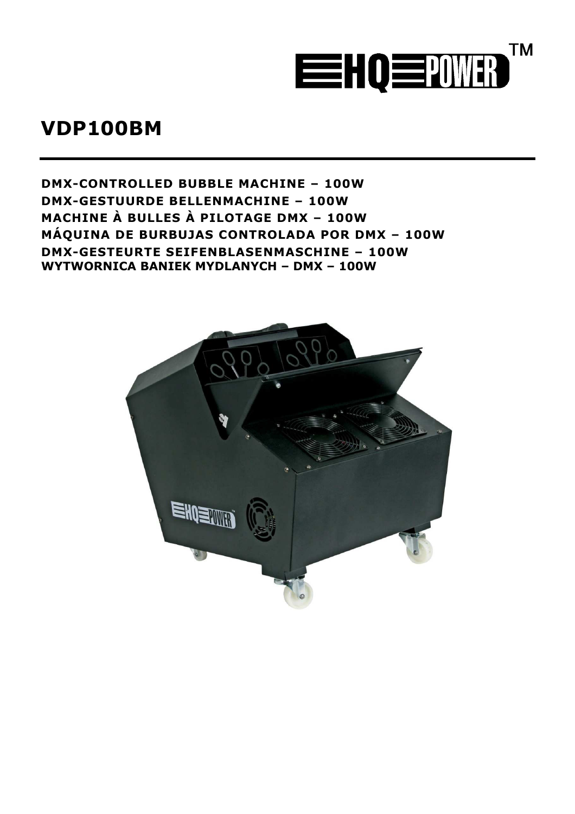

# **VDP100BM**

**DMX CONTROLLED BUBBLE MACHINE – 100W DMX GESTUURDE BELLENMACHINE – 100W MACHINE À BULLES À PILOTAGE DMX – 100W MÁQUINA DE BURBUJAS CONTROLADA POR DMX – 100W DMX GESTEURTE SEIFENBLASENMASCHINE – 100W WYTWORNICA BANIEK MYDLANYCH – DMX – 100W** 

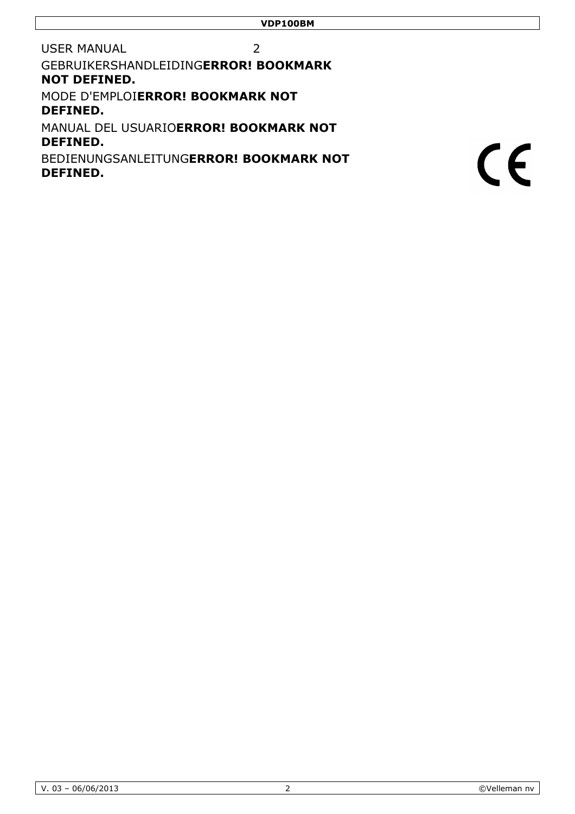2

USER MANUAL

GEBRUIKERSHANDLEIDING**ER ERROR! BOOKMARK NOT DEFINED.**

MODE D'EMPLOI**ERROR! BOO BOOKMARK NOT DEFINED.**

MANUAL DEL USUARIO**ERROR ROR! BOOKMARK NOT DEFINED.**

BEDIENUNGSANLEITUNG**ERR ERROR! BOOKMARK NOT DEFINED.**

 $C \in$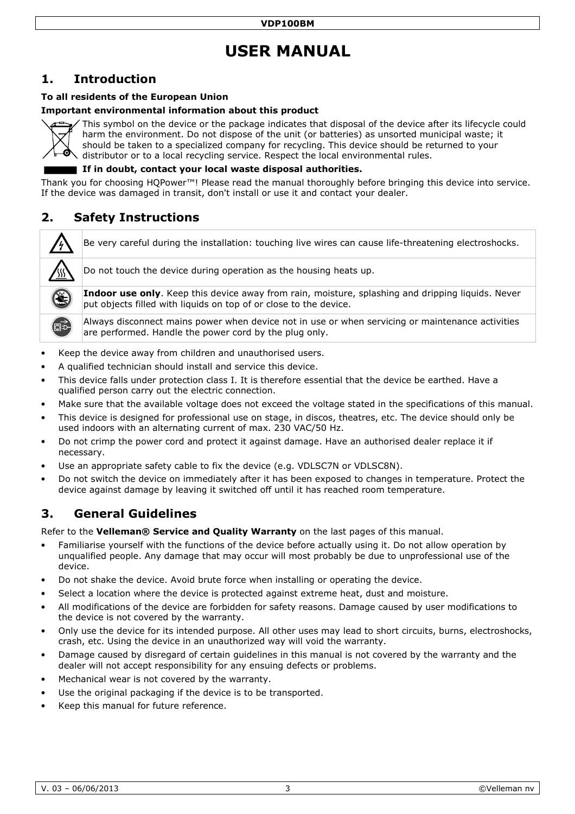# **USER MANUAL**

# **1. Introduction**

### **To all residents of the European Un Union**

### **Important environmental information about this product**



This symbol on the device or the package indicates that disposal of the device after its lifecycle could harm the environment. Do not dispose of the unit (or batteries) as unsorted municipal waste; it should be taken to a specialized company for recycling. This device should be returned to your distributor or to a local recycling service. Respect the local environmental rules.

### If in doubt, contact your local waste disposal authorities.

Thank you for choosing HQPower™! Please read the manual thoroughly before bringing this device into service. If the device was damaged in transit, don't install or use it and contact your dealer.

# **2. Safety Instructions**

Be very careful during the installation: touching live wires can cause life-threatening electroshocks.

ட்

Do not touch the device during operation as the housing heats up.

**Indoor use only**. Keep this device away from rain, moisture, splashing and dripping liquids. Never put objects filled with liquids s on top of or close to the device.

Always disconnect mains power when device not in use or when servicing or maintenance activities are performed. Handle the po power cord by the plug only.

- Keep the device away from children and unauthorised users.
- A qualified technician should install and service this device.
- This device falls under protection class I. It is therefore essential that the device be earthed. Have a qualified person carry out the electric connection.
- . Make sure that the available voltage does not exceed the voltage stated in the specifications of this manual.
- This device is designed for professional use on stage, in discos, theatres, etc. The device should only be used indoors with an alternating current of max. 230 VAC/50 Hz.
- Do not crimp the power cord and protect it against damage. Have an authorised dealer replace it if necessary.
- Use an appropriate safety cable to fix the device (e.g. VDLSC7N or VDLSC8N).
- Do not switch the device on immediately after it has been exposed to changes in temperature. Protect the device against damage by leaving it switched off until it has reached room temperature.

# **3. General Guidelines**

Refer to the Velleman® Service and Quality Warranty on the last pages of this manual.

- Familiarise yourself with the functions of the device before actually using it. Do not allow operation by unqualified people. Any damage that may occur will most probably be due to unprofessional use of the device.
- Do not shake the device. Avoid brute force when installing or operating the device.
- Do not shake the device. Avoid brute force when installing or operating the device.<br>• Select a location where the device is protected against extreme heat, dust and moisture.
- All modifications of the device are forbidden for safety reasons. Damage caused by user modifications to the device is not covered by the warranty.
- . Only use the device for its intended purpose. All other uses may lead to short circuits, burns, electroshocks, crash, etc. Using the device in an u n unauthorized way will void the warranty.
- Damage caused by disregard of certain guidelines in this manual is not covered by the warranty and the dealer will not accept responsibility for any ensuing defects or problems.
- Mechanical wear is not covered by the warranty.
- Use the original packaging if the device is to be transported.
- Keep this manual for future reference.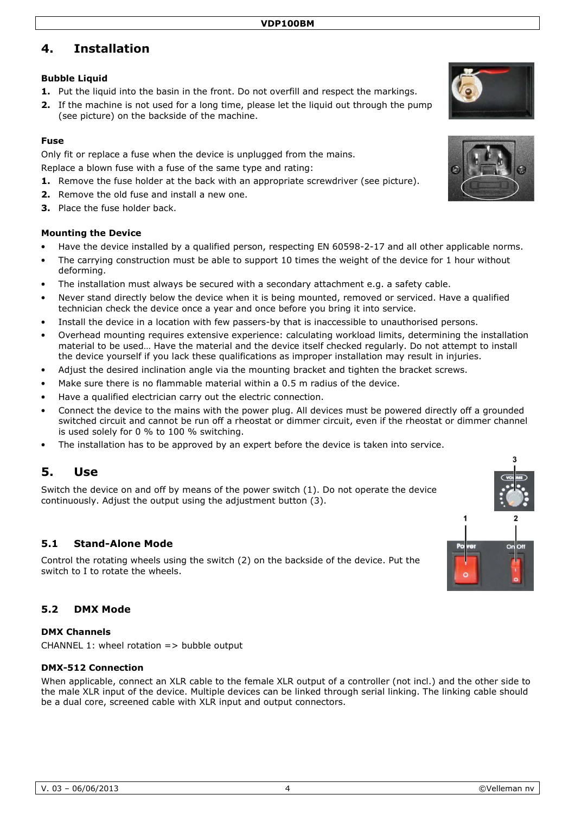# **4. Installation**

### **Bubble Liquid**

- **1.** Put the liquid into the basin in the front. Do not overfill and respect the markings.
- **2.** If the machine is not used for a long time, please let the liquid out through the pump (see picture) on the backside of the machine.

### **Fuse**

Only fit or replace a fuse when the device is unplugged from the mains.

Replace a blown fuse with a fuse of the same type and rating:

- **1.** Remove the fuse holder at the back with an appropriate screwdriver (see picture).
- **2.** Remove the old fuse and install a new one.
- **3.** Place the fuse holder back.

### **Mounting the Device**

- Have the device installed by a qualified person, respecting EN 60598-2-17 and all other applicable norms.
- The carrying construction must be able to support 10 times the weight of the device for 1 hour without deforming.
- The installation must always be secured with a secondary attachment e.g. a safety cable.
- Never stand directly below the device when it is being mounted, removed or serviced. Have a qualified technician check the device once a year and once before you bring it into service.
- Install the device in a location with few passers-by that is inaccessible to unauthorised persons.
- Overhead mounting requires extensive experience: calculating workload limits, determining the installation material to be used… Have the material and the device itself checked regularly. Do not attempt to install the device yourself if you lack these qualifications as improper installation may result in injuries.
- Adjust the desired inclination angle via the mounting bracket and tighten the bracket screws.
- Make sure there is no flammable material within a 0.5 m radius of the device.
- Have a qualified electrician carry out the electric connection.
- Connect the device to the mains with the power plug. All devices must be powered directly off a grounded switched circuit and cannot be run off a rheostat or dimmer circuit, even if the rheostat or dimmer channel is used solely for 0 % to 100 % switching.
- The installation has to be approved by an expert before the device is taken into service.

# **5. Use**

Switch the device on and off by means of the power switch (1). Do not operate the device continuously. Adjust the output using the adjustment button (3).

### **5.1 Stand Alone Mode**

Control the rotating wheels using the switch (2) on the backside of the device. Put the switch to I to rotate the wheels.

### **5.2 DMX Mode**

#### **DMX Channels**

CHANNEL 1: wheel rotation  $\Rightarrow$  bubble output

#### **DMX 512 Connection**

When applicable, connect an XLR cable to the female XLR output of a controller (not incl.) and the other side to the male XLR input of the device. Multiple devices can be linked through serial linking. The linking cable should be a dual core, screened cable with XLR input and output connectors.





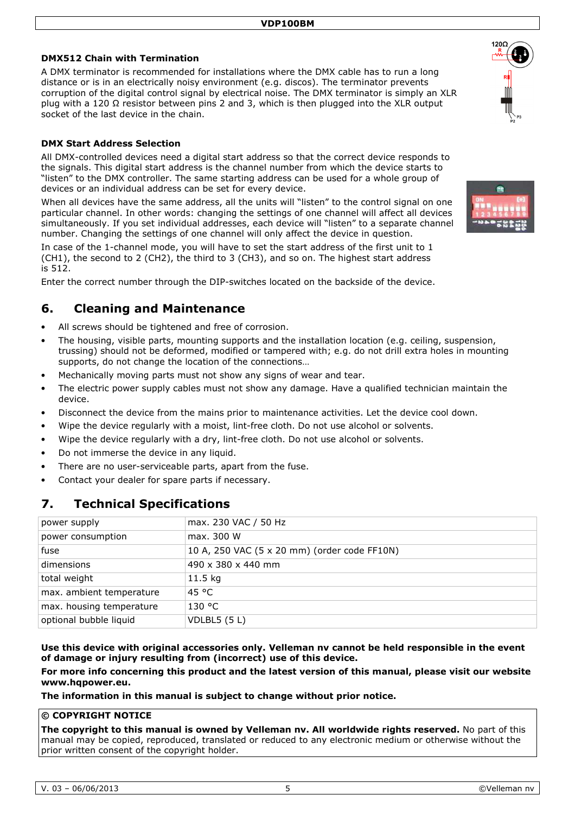#### **DMX512 Chain with Termination**

A DMX terminator is recommended for installations where the DMX cable has to run a long distance or is in an electrically noisy environment (e.g. discos). The terminator prevents corruption of the digital control signal by electrical noise. The DMX terminator is simply an XLR plug with a 120  $\Omega$  resistor between pins 2 and 3, which is then plugged into the XLR output socket of the last device in the chain.

#### **DMX Start Address Selection**

All DMX-controlled devices need a digital start address so that the correct device responds to the signals. This digital start address is the channel number from which the device starts to "listen" to the DMX controller. The same starting address can be used for a whole group of devices or an individual address can be set for every device.

When all devices have the same address, all the units will "listen" to the control signal on one particular channel. In other words: changing the settings of one channel will affect all devices simultaneously. If you set individual addresses, each device will "listen" to a separate channel number. Changing the settings of one channel will only affect the device in question.

In case of the 1-channel mode, you will have to set the start address of the first unit to 1 (CH1), the second to 2 (CH2), the third to 3 (CH3), and so on. The highest start address is 512.

Enter the correct number through the DIP-switches located on the backside of the device.

## **6. Cleaning and Maintenance**

- All screws should be tightened and free of corrosion.
- The housing, visible parts, mounting supports and the installation location (e.g. ceiling, suspension, trussing) should not be deformed, modified or tampered with; e.g. do not drill extra holes in mounting supports, do not change the location of the connections…
- Mechanically moving parts must not show any signs of wear and tear.
- The electric power supply cables must not show any damage. Have a qualified technician maintain the device.
- Disconnect the device from the mains prior to maintenance activities. Let the device cool down.
- Wipe the device regularly with a moist, lint-free cloth. Do not use alcohol or solvents.
- Wipe the device regularly with a dry, lint-free cloth. Do not use alcohol or solvents.
- Do not immerse the device in any liquid.
- There are no user-serviceable parts, apart from the fuse.
- Contact your dealer for spare parts if necessary.

## **7. Technical Specifications**

| power supply             | max. 230 VAC / 50 Hz                         |
|--------------------------|----------------------------------------------|
| power consumption        | max. 300 W                                   |
| fuse                     | 10 A, 250 VAC (5 x 20 mm) (order code FF10N) |
| dimensions               | 490 x 380 x 440 mm                           |
| total weight             | $11.5$ kg                                    |
| max. ambient temperature | 45 °C                                        |
| max. housing temperature | 130 °C                                       |
| optional bubble liquid   | VDLBL5 $(5 L)$                               |
|                          |                                              |

**Use this device with original accessories only. Velleman nv cannot be held responsible in the event of damage or injury resulting from (incorrect) use of this device.** 

**For more info concerning this product and the latest version of this manual, please visit our website www.hqpower.eu.** 

**The information in this manual is subject to change without prior notice.** 

#### **© COPYRIGHT NOTICE**

**The copyright to this manual is owned by Velleman nv. All worldwide rights reserved.** No part of this manual may be copied, reproduced, translated or reduced to any electronic medium or otherwise without the prior written consent of the copyright holder.



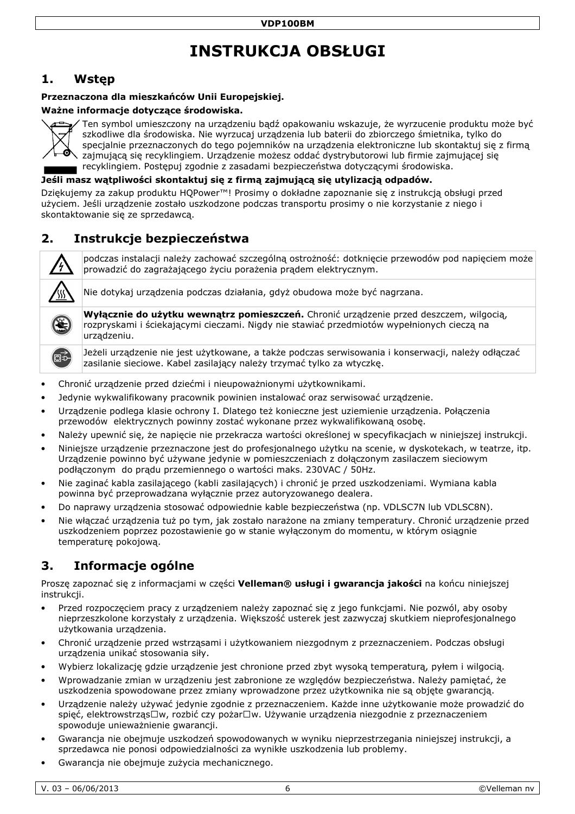# **INS INSTRUKCJA OBSŁUGI**

# **1. Wstęp**

### Przeznaczona dla mieszkańców Unii Europejskiej.

#### **Ważne informacje dotyczące środow odowiska.**



Ten symbol umieszczony na urządzeniu bądź opakowaniu wskazuje, że wyrzucenie produktu może być szkodliwe dla środowiska. Nie wyrzucaj urządzenia lub baterii do zbiorczego śmietnika, tylko do specjalnie przeznaczonych do tego pojemników na urządzenia elektroniczne lub skontaktuj się z firmą zajmującą się recyklingiem. Urządzenie możesz oddać dystrybutorowi lub firmie zajmującej się recyklingiem. Postępuj zgodnie z zasadami bezpieczeństwa dotyczącymi środowiska.

Jeśli masz wątpliwości skontaktuj się z firmą zajmującą się utylizacją odpadów.

Dziękujemy za zakup produktu HQPower™! Prosimy o dokładne zapoznanie się z instrukcją obsługi przed użyciem. Jeśli urządzenie zostało uszkodzone podczas transportu prosimy o nie korzystanie z niego i skontaktowanie się ze sprzedawcą.

## **2. Instrukcje bezpieczeń czeństwa**

podczas instalacji należy zachować szczególną ostrożność: dotknięcie przewodów pod napięciem może prowadzić do zagrażającego ż go życiu porażenia prądem elektrycznym.

Nie dotykaj urządzenia podcza dczas działania, gdyż obudowa może być nagrzana. Nie dotykaj urządzenia podczas działania, gdyż obudowa może być nagrzana.<br>**Wyłącznie do użytku wewnątrz pomieszczeń.** Chronić urządzenie przed deszczem, wilgocią,



Jeżeli urządzenie nie jest użytkowane, a także podczas serwisowania i konserwacji, należy odłączać zasilanie sieciowe. Kabel zasilający należy trzymać tylko za wtyczkę.

- Chronić urządzenie przed dziećmi i i nieupoważnionymi użytkownikami.
- · Jedynie wykwalifikowany pracownik powinien instalować oraz serwisować urządzenie.
- Urządzenie podlega klasie ochrony I. Dlatego też konieczne jest uziemienie urządzenia. Połączenia przewodów elektrycznych powinny zostać wykonane przez wykwalifikowaną osobę.
- · Należy upewnić się, że napięcie nie przekracza wartości określonej w specyfikacjach w niniejszej instrukcji.
- · Niniejsze urządzenie przeznaczone jest do profesjonalnego użytku na scenie, w dyskotekach, w teatrze, itp. Urządzenie powinno być używane jedynie w pomieszczeniach z dołączonym zasilaczem sieciowym podłączonym do prądu przemiennego o wartości maks. 230VAC / 50Hz.
- Nie zaginać kabla zasilającego (kabli zasilających) i chronić je przed uszkodzeniami. Wymiana kabla powinna być przeprowadzana wyłącznie przez autoryzowanego dealera.
- · Do naprawy urządzenia stosować odpowiednie kable bezpieczeństwa (np. VDLSC7N lub VDLSC8N).
- · Nie włączać urządzenia tuż po tym, jak zostało narażone na zmiany temperatury. Chronić urządzenie przed uszkodzeniem poprzez pozostawienie go w stanie wyłączonym do momentu, w którym osiągnie temperaturę pokojową.

# **3. Informacje ogólne**

Proszę zapoznać się z informacjami w c części **Velleman® usługi i gwarancja jakości ości** na końcu niniejszej instrukcji.

- Przed rozpoczęciem pracy z urządzeniem należy zapoznać się z jego funkcjami. Nie pozwól, aby osoby nieprzeszkolone korzystały z urządzenia. Większość usterek jest zazwyczaj skutkiem nieprofesjonalnego użytkowania urządzenia.
- Chronić urządzenie przed wstrząsami i użytkowaniem niezgodnym z przeznaczeniem. Podczas obsługi urządzenia unikać stosowania siły.
- urządzenia unikać stosowania siły.<br>Wybierz lokalizację gdzie urządzenie jest chronione przed zbyt wysoką temperaturą, pyłem i wilgocią. •
- · Wprowadzanie zmian w urządzeniu jest zabronione ze względów bezpieczeństwa. Należy pamiętać, że uszkodzenia spowodowane przez zmiany wprowadzone przez użytkownika nie są objęte gwarancją.
- Urządzenie należy używać jedynie zgodnie z przeznaczeniem. Każde inne użytkowanie może prowadzić do spięć, elektrowstrząs□w, rozbić czy pożar□w. Używanie urządzenia niezgodnie z przeznaczeniem spowoduje unieważnienie gwarancji.
- · Gwarancja nie obejmuje uszkodzeń spowodowanych w wyniku nieprzestrzegania niniejszej instrukcji, a sprzedawca nie ponosi odpowiedzialności za wynikłe uszkodzenia lub problemy.
- Gwarancja nie obejmuje zużycia me mechanicznego.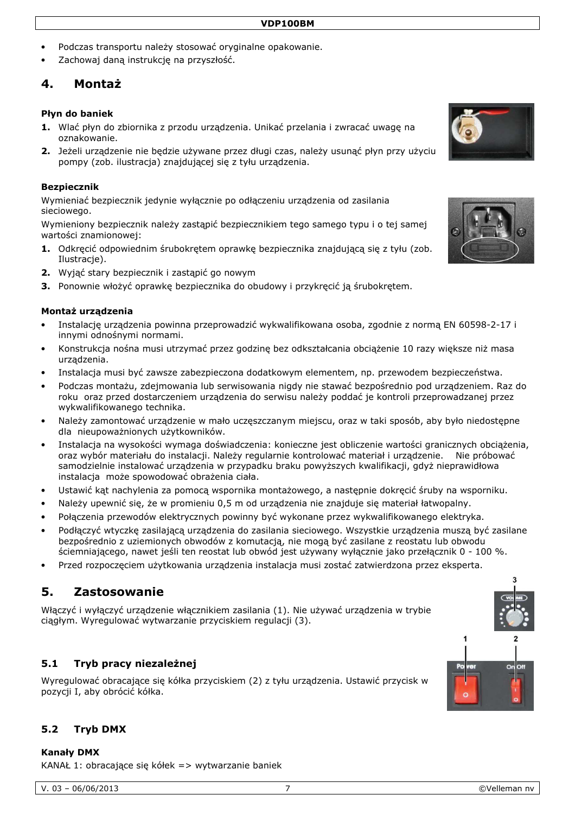- Podczas transportu należy stosować oryginalne opakowanie.
- Zachowaj daną instrukcję na przyszłość.

## **4. Montaż**

#### **Płyn do baniek**

- **1.** Wlać płyn do zbiornika z przodu urządzenia. Unikać przelania i zwracać uwagę na oznakowanie.
- **2.** Jeżeli urządzenie nie będzie używane przez długi czas, należy usunąć płyn przy użyciu pompy (zob. ilustracja) znajdującej się z tyłu urządzenia.

#### **Bezpiecznik**

Wymieniać bezpiecznik jedynie wyłącznie po odłączeniu urządzenia od zasilania sieciowego.

Wymieniony bezpiecznik należy zastąpić bezpiecznikiem tego samego typu i o tej samej wartości znamionowej:

- **1.** Odkręcić odpowiednim śrubokrętem oprawkę bezpiecznika znajdującą się z tyłu (zob. Ilustracje).
- **2.** Wyjąć stary bezpiecznik i zastąpić go nowym
- **3.** Ponownie włożyć oprawkę bezpiecznika do obudowy i przykręcić ją śrubokrętem.

#### **Montaż urządzenia**

- Instalację urządzenia powinna przeprowadzić wykwalifikowana osoba, zgodnie z normą EN 60598-2-17 i innymi odnośnymi normami.
- Konstrukcja nośna musi utrzymać przez godzinę bez odkształcania obciążenie 10 razy większe niż masa urządzenia.
- Instalacja musi być zawsze zabezpieczona dodatkowym elementem, np. przewodem bezpieczeństwa.
- Podczas montażu, zdejmowania lub serwisowania nigdy nie stawać bezpośrednio pod urządzeniem. Raz do roku oraz przed dostarczeniem urządzenia do serwisu należy poddać je kontroli przeprowadzanej przez wykwalifikowanego technika.
- Należy zamontować urządzenie w mało uczęszczanym miejscu, oraz w taki sposób, aby było niedostępne dla nieupoważnionych użytkowników.
- Instalacja na wysokości wymaga doświadczenia: konieczne jest obliczenie wartości granicznych obciążenia, oraz wybór materiału do instalacji. Należy regularnie kontrolować materiał i urządzenie. Nie próbować samodzielnie instalować urządzenia w przypadku braku powyższych kwalifikacji, gdyż nieprawidłowa instalacja może spowodować obrażenia ciała.
- Ustawić kąt nachylenia za pomocą wspornika montażowego, a następnie dokręcić śruby na wsporniku.
- Należy upewnić się, że w promieniu 0,5 m od urządzenia nie znajduje się materiał łatwopalny.
- Połączenia przewodów elektrycznych powinny być wykonane przez wykwalifikowanego elektryka.
- Podłączyć wtyczkę zasilającą urządzenia do zasilania sieciowego. Wszystkie urządzenia muszą być zasilane bezpośrednio z uziemionych obwodów z komutacją, nie mogą być zasilane z reostatu lub obwodu ściemniającego, nawet jeśli ten reostat lub obwód jest używany wyłącznie jako przełącznik 0 - 100 %.
- Przed rozpoczęciem użytkowania urządzenia instalacja musi zostać zatwierdzona przez eksperta.

# **5. Zastosowanie**

Włączyć i wyłączyć urządzenie włącznikiem zasilania (1). Nie używać urządzenia w trybie ciągłym. Wyregulować wytwarzanie przyciskiem regulacji (3).

### **5.1 Tryb pracy niezależnej**

Wyregulować obracające się kółka przyciskiem (2) z tyłu urządzenia. Ustawić przycisk w pozycji I, aby obrócić kółka.

#### **5.2 Tryb DMX**

**Kanały DMX** 

KANAŁ 1: obracające się kółek => wytwarzanie baniek

 $\overline{1}$ 



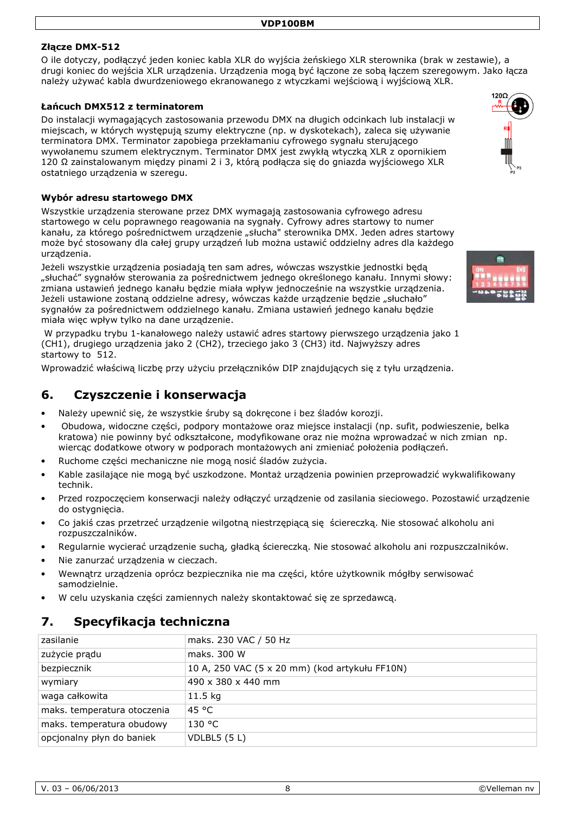### **Złącze DMX 512**

O ile dotyczy, podłączyć jeden koniec kabla XLR do wyjścia żeńskiego XLR sterownika (brak w zestawie), a drugi koniec do wejścia XLR urządzenia. Urządzenia mogą być łączone ze sobą łączem szeregowym. Jako łącza należy używać kabla dwurdzeniowego ekranowanego z wtyczkami wejściową i wyjściową XLR.

#### **Łańcuch DMX512 z terminatorem**

Do instalacji wymagających zastosowania przewodu DMX na długich odcinkach lub instalacji w miejscach, w których występują szumy elektryczne (np. w dyskotekach), zaleca się używanie terminatora DMX. Terminator zapobiega przekłamaniu cyfrowego sygnału sterującego wywołanemu szumem elektrycznym. Terminator DMX jest zwykłą wtyczką XLR z opornikiem 120 Ω zainstalowanym między pinami 2 i 3, którą podłącza się do gniazda wyjściowego XLR ostatniego urządzenia w szeregu.

#### **Wybór adresu startowego DMX**

Wszystkie urządzenia sterowane przez DMX wymagają zastosowania cyfrowego adresu startowego w celu poprawnego reagowania na sygnały. Cyfrowy adres startowy to numer kanału, za którego pośrednictwem urządzenie "słucha" sterownika DMX. Jeden adres startowy może być stosowany dla całej grupy urządzeń lub można ustawić oddzielny adres dla każdego urządzenia.

Jeżeli wszystkie urządzenia posiadają ten sam adres, wówczas wszystkie jednostki będą "słuchać" sygnałów sterowania za pośrednictwem jednego określonego kanału. Innymi słowy: zmiana ustawień jednego kanału będzie miała wpływ jednocześnie na wszystkie urządzenia. Jeżeli ustawione zostaną oddzielne adresy, wówczas każde urządzenie będzie "słuchało" sygnałów za pośrednictwem oddzielnego kanału. Zmiana ustawień jednego kanału będzie miała więc wpływ tylko na dane urządzenie.

W przypadku trybu 1-kanałowego należy ustawić adres startowy pierwszego urządzenia jako 1 (CH1), drugiego urządzenia jako 2 (CH2), trzeciego jako 3 (CH3) itd. Najwyższy adres startowy to 512.

Wprowadzić właściwą liczbę przy użyciu przełączników DIP znajdujących się z tyłu urządzenia.

### **6. Czyszczenie i konserwacja**

- Należy upewnić się, że wszystkie śruby są dokręcone i bez śladów korozji.
- Obudowa, widoczne części, podpory montażowe oraz miejsce instalacji (np. sufit, podwieszenie, belka kratowa) nie powinny być odkształcone, modyfikowane oraz nie można wprowadzać w nich zmian np. wiercąc dodatkowe otwory w podporach montażowych ani zmieniać położenia podłączeń.
- Ruchome części mechaniczne nie mogą nosić śladów zużycia.
- Kable zasilające nie mogą być uszkodzone. Montaż urządzenia powinien przeprowadzić wykwalifikowany technik.
- Przed rozpoczęciem konserwacji należy odłączyć urządzenie od zasilania sieciowego. Pozostawić urządzenie do ostygnięcia.
- Co jakiś czas przetrzeć urządzenie wilgotną niestrzępiącą się ściereczką. Nie stosować alkoholu ani rozpuszczalników.
- Regularnie wycierać urządzenie suchą, gładką ściereczką. Nie stosować alkoholu ani rozpuszczalników.
- Nie zanurzać urządzenia w cieczach.
- Wewnątrz urządzenia oprócz bezpiecznika nie ma części, które użytkownik mógłby serwisować samodzielnie.
- W celu uzyskania części zamiennych należy skontaktować się ze sprzedawcą.

### **7. Specyfikacja techniczna**

| zasilanie                   | maks. 230 VAC / 50 Hz                          |
|-----------------------------|------------------------------------------------|
| zużycie prądu               | maks. 300 W                                    |
| bezpiecznik                 | 10 A, 250 VAC (5 x 20 mm) (kod artykułu FF10N) |
| wymiary                     | 490 x 380 x 440 mm                             |
| waga całkowita              | $11.5$ kg                                      |
| maks. temperatura otoczenia | 45 °C                                          |
| maks. temperatura obudowy   | 130 °C                                         |
| opcjonalny płyn do baniek   | VDLBL5 $(5 L)$                                 |